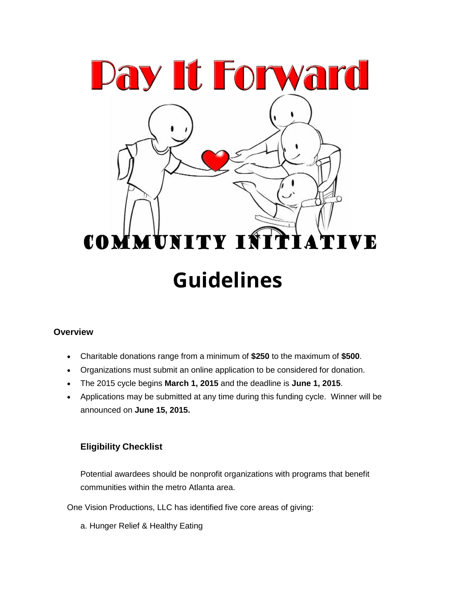

## **Overview**

- Charitable donations range from a minimum of **\$250** to the maximum of **\$500**.
- Organizations must submit an [online application](http://www.cybergrants.com/pls/cybergrants/quiz.display_question?x_gm_id=2797&x_quiz_id=4503&x_order_by=1) to be considered for donation.
- The 2015 cycle begins **March 1, 2015** and the deadline is **June 1, 2015**.
- Applications may be submitted at any time during this funding cycle. Winner will be announced on **June 15, 2015.**

# **Eligibility Checklist**

Potential awardees should be nonprofit organizations with programs that benefit communities within the metro Atlanta area.

One Vision Productions, LLC has identified five core areas of giving:

a. [Hunger Relief & Healthy Eating](http://foundation.walmart.com/our-focus/hunger)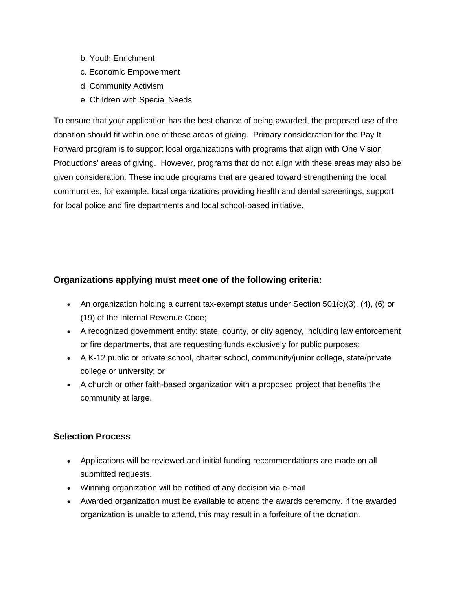- b. [Youth](http://foundation.walmart.com/our-focus/sustainability) Enrichment
- c. [Economic Empowerment](http://foundation.walmart.com/our-focus/womens-empowerment)
- d. [Community](http://foundation.walmart.com/our-focus/career-opportunity) Activism
- e. Children with Special Needs

To ensure that your application has the best chance of being awarded, the proposed use of the donation should fit within one of these areas of giving. Primary consideration for the Pay It Forward program is to support local organizations with programs that align with One Vision Productions' areas of giving. However, programs that do not align with these areas may also be given consideration. These include programs that are geared toward strengthening the local communities, for example: local organizations providing health and dental screenings, support for local police and fire departments and local school-based initiative.

## **Organizations applying must meet one of the following criteria:**

- An organization holding a current tax-exempt status under Section  $501(c)(3)$ , (4), (6) or (19) of the Internal Revenue Code;
- A recognized government entity: state, county, or city agency, including law enforcement or fire departments, that are requesting funds exclusively for public purposes;
- A K-12 public or private school, charter school, community/junior college, state/private college or university; or
- A church or other faith-based organization with a proposed project that benefits the community at large.

## **Selection Process**

- Applications will be reviewed and initial funding recommendations are made on all submitted requests.
- Winning organization will be notified of any decision via e-mail
- Awarded organization must be available to attend the awards ceremony. If the awarded organization is unable to attend, this may result in a forfeiture of the donation.